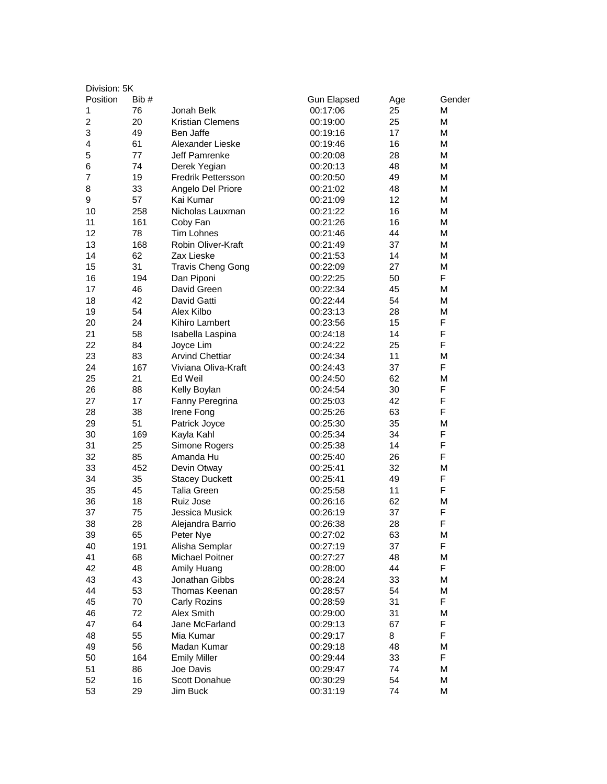| Division: 5K   |      |                          |                    |     |        |  |
|----------------|------|--------------------------|--------------------|-----|--------|--|
| Position       | Bib# |                          | <b>Gun Elapsed</b> | Age | Gender |  |
| 1              | 76   | Jonah Belk               | 00:17:06           | 25  | М      |  |
| $\overline{c}$ | 20   | <b>Kristian Clemens</b>  | 00:19:00           | 25  | М      |  |
| 3              | 49   | Ben Jaffe                | 00:19:16           | 17  | М      |  |
| 4              | 61   | Alexander Lieske         | 00:19:46           | 16  | М      |  |
| 5              | 77   | Jeff Pamrenke            | 00:20:08           | 28  | м      |  |
| 6              | 74   | Derek Yegian             | 00:20:13           | 48  | М      |  |
| 7              | 19   | Fredrik Pettersson       | 00:20:50           | 49  | М      |  |
| 8              | 33   | Angelo Del Priore        | 00:21:02           | 48  | М      |  |
| 9              | 57   | Kai Kumar                | 00:21:09           | 12  | М      |  |
| 10             | 258  | Nicholas Lauxman         | 00:21:22           | 16  | М      |  |
| 11             | 161  | Coby Fan                 | 00:21:26           | 16  | М      |  |
| 12             | 78   | Tim Lohnes               | 00:21:46           | 44  | М      |  |
| 13             | 168  | Robin Oliver-Kraft       | 00:21:49           | 37  | М      |  |
| 14             | 62   | Zax Lieske               | 00:21:53           | 14  | М      |  |
| 15             | 31   | <b>Travis Cheng Gong</b> | 00:22:09           | 27  | М      |  |
| 16             | 194  | Dan Piponi               | 00:22:25           | 50  | F      |  |
| 17             | 46   | David Green              | 00:22:34           | 45  | М      |  |
| 18             | 42   | David Gatti              | 00:22:44           | 54  | М      |  |
| 19             | 54   | Alex Kilbo               | 00:23:13           | 28  | М      |  |
| 20             | 24   | Kihiro Lambert           | 00:23:56           | 15  | F      |  |
| 21             | 58   | Isabella Laspina         | 00:24:18           | 14  | F      |  |
| 22             | 84   | Joyce Lim                | 00:24:22           | 25  | F      |  |
| 23             | 83   | <b>Arvind Chettiar</b>   | 00:24:34           | 11  | М      |  |
| 24             | 167  | Viviana Oliva-Kraft      | 00:24:43           | 37  | F      |  |
| 25             | 21   | Ed Weil                  | 00:24:50           | 62  | М      |  |
| 26             | 88   | Kelly Boylan             | 00:24:54           | 30  | F      |  |
| 27             | 17   | Fanny Peregrina          | 00:25:03           | 42  | F      |  |
| 28             | 38   | Irene Fong               | 00:25:26           | 63  | F      |  |
| 29             | 51   | Patrick Joyce            | 00:25:30           | 35  | М      |  |
| 30             | 169  | Kayla Kahl               | 00:25:34           | 34  | F      |  |
| 31             | 25   | Simone Rogers            | 00:25:38           | 14  | F      |  |
| 32             | 85   | Amanda Hu                | 00:25:40           | 26  | F      |  |
| 33             | 452  | Devin Otway              | 00:25:41           | 32  | М      |  |
| 34             | 35   | <b>Stacey Duckett</b>    | 00:25:41           | 49  | F      |  |
| 35             | 45   | <b>Talia Green</b>       | 00:25:58           | 11  | F      |  |
| 36             | 18   | Ruiz Jose                | 00:26:16           | 62  | М      |  |
| 37             | 75   | Jessica Musick           | 00:26:19           | 37  | F      |  |
| 38             | 28   | Alejandra Barrio         | 00:26:38           | 28  | F      |  |
| 39             | 65   | Peter Nye                | 00:27:02           | 63  | М      |  |
| 40             | 191  | Alisha Semplar           | 00:27:19           | 37  | F      |  |
| 41             | 68   | Michael Poitner          | 00:27:27           | 48  | М      |  |
| 42             | 48   | Amily Huang              | 00:28:00           | 44  | F      |  |
| 43             | 43   | Jonathan Gibbs           | 00:28:24           | 33  | М      |  |
| 44             | 53   | Thomas Keenan            | 00:28:57           | 54  | М      |  |
| 45             | 70   | Carly Rozins             | 00:28:59           | 31  | F      |  |
| 46             | 72   | Alex Smith               | 00:29:00           | 31  | М      |  |
| 47             | 64   | Jane McFarland           | 00:29:13           | 67  | F      |  |
| 48             | 55   | Mia Kumar                | 00:29:17           | 8   | F      |  |
| 49             | 56   | Madan Kumar              | 00:29:18           | 48  | М      |  |
| 50             | 164  | <b>Emily Miller</b>      | 00:29:44           | 33  | F      |  |
| 51             | 86   | Joe Davis                | 00:29:47           | 74  | М      |  |
| 52             | 16   | Scott Donahue            | 00:30:29           | 54  | М      |  |
| 53             | 29   | Jim Buck                 | 00:31:19           | 74  | М      |  |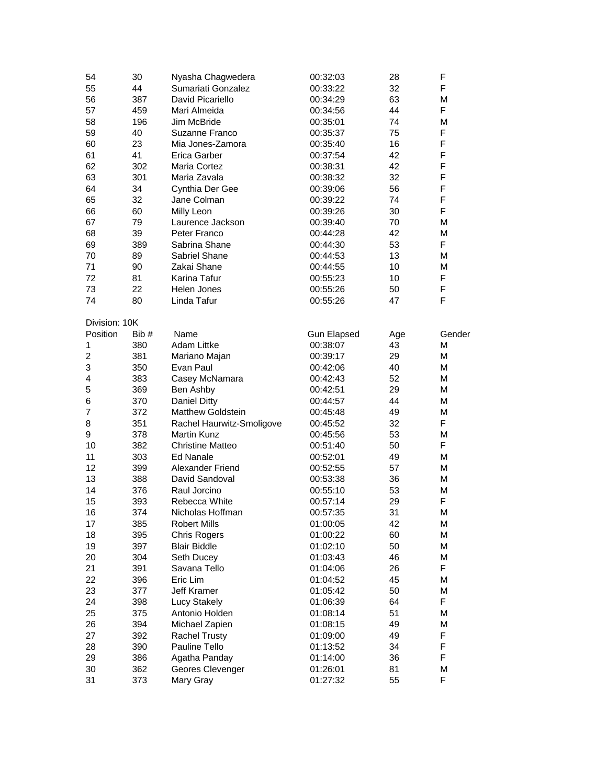| 54             | 30    | Nyasha Chagwedera         | 00:32:03             | 28  | F      |
|----------------|-------|---------------------------|----------------------|-----|--------|
| 55             | 44    | Sumariati Gonzalez        | 00:33:22             | 32  | F      |
| 56             | 387   | David Picariello          | 00:34:29             | 63  | М      |
| 57             | 459   | Mari Almeida              | 00:34:56             | 44  | F      |
| 58             | 196   | Jim McBride               | 00:35:01             | 74  | M      |
| 59             | 40    | Suzanne Franco            | 00:35:37             | 75  | F      |
| 60             | 23    | Mia Jones-Zamora          | 00:35:40             | 16  | F      |
| 61             | 41    | Erica Garber              | 00:37:54             | 42  | F      |
| 62             | 302   | Maria Cortez              | 00:38:31             | 42  | F      |
| 63             | 301   | Maria Zavala              | 00:38:32             | 32  | F      |
| 64             | 34    | Cynthia Der Gee           | 00:39:06             | 56  | F      |
| 65             | 32    | Jane Colman               | 00:39:22             | 74  | F      |
| 66             | 60    | Milly Leon                | 00:39:26             | 30  | F      |
| 67             | 79    | Laurence Jackson          | 00:39:40             | 70  | М      |
| 68             | 39    | Peter Franco              | 00:44:28             | 42  | M      |
| 69             | 389   | Sabrina Shane             | 00:44:30             | 53  | F      |
| 70             | 89    | Sabriel Shane             | 00:44:53             | 13  | М      |
| 71             | 90    | Zakai Shane               | 00:44:55             | 10  | M      |
| 72             | 81    | Karina Tafur              | 00:55:23             | 10  | F      |
| 73             | 22    | Helen Jones               | 00:55:26             | 50  | F      |
| 74             |       |                           |                      |     | F      |
|                | 80    | Linda Tafur               | 00:55:26             | 47  |        |
| Division: 10K  |       |                           |                      |     |        |
| Position       | Bib # | Name                      | <b>Gun Elapsed</b>   | Age | Gender |
| 1              | 380   | <b>Adam Littke</b>        | 00:38:07             | 43  | M      |
| $\overline{2}$ | 381   | Mariano Majan             | 00:39:17             | 29  | М      |
| 3              | 350   | Evan Paul                 | 00:42:06             | 40  | М      |
| 4              | 383   | Casey McNamara            | 00:42:43             | 52  | М      |
| 5              | 369   | Ben Ashby                 | 00:42:51             | 29  | М      |
| 6              | 370   | Daniel Ditty              | 00:44:57             | 44  | M      |
| $\overline{7}$ | 372   | <b>Matthew Goldstein</b>  | 00:45:48             | 49  | M      |
| 8              | 351   | Rachel Haurwitz-Smoligove | 00:45:52             | 32  | F      |
| 9              | 378   | <b>Martin Kunz</b>        | 00:45:56             | 53  | M      |
| 10             | 382   | <b>Christine Matteo</b>   | 00:51:40             | 50  | F      |
| 11             | 303   | <b>Ed Nanale</b>          | 00:52:01             | 49  | М      |
| 12             | 399   | Alexander Friend          | 00:52:55             | 57  | М      |
| 13             | 388   | David Sandoval            | 00:53:38             | 36  | М      |
| 14             | 376   | Raul Jorcino              | 00:55:10             | 53  | M      |
| 15             | 393   | Rebecca White             | 00:57:14             | 29  | F      |
| 16             | 374   | Nicholas Hoffman          | 00:57:35             | 31  | M      |
| 17             | 385   | <b>Robert Mills</b>       |                      | 42  | М      |
| 18             | 395   | <b>Chris Rogers</b>       | 01:00:05<br>01:00:22 | 60  | M      |
| 19             |       | <b>Blair Biddle</b>       |                      | 50  | M      |
|                | 397   |                           | 01:02:10             |     |        |
| 20             | 304   | Seth Ducey                | 01:03:43             | 46  | M      |
| 21             | 391   | Savana Tello              | 01:04:06             | 26  | F      |
| 22             | 396   | Eric Lim                  | 01:04:52             | 45  | M      |
| 23             | 377   | Jeff Kramer               | 01:05:42             | 50  | M      |
| 24             | 398   | Lucy Stakely              | 01:06:39             | 64  | F      |
| 25             | 375   | Antonio Holden            | 01:08:14             | 51  | М      |
| 26             | 394   | Michael Zapien            | 01:08:15             | 49  | M      |
| 27             | 392   | <b>Rachel Trusty</b>      | 01:09:00             | 49  | F      |
| 28             | 390   | Pauline Tello             | 01:13:52             | 34  | F      |
| 29             | 386   | Agatha Panday             | 01:14:00             | 36  | F      |
| 30             | 362   | Geores Clevenger          | 01:26:01             | 81  | М      |
| 31             | 373   | Mary Gray                 | 01:27:32             | 55  | F      |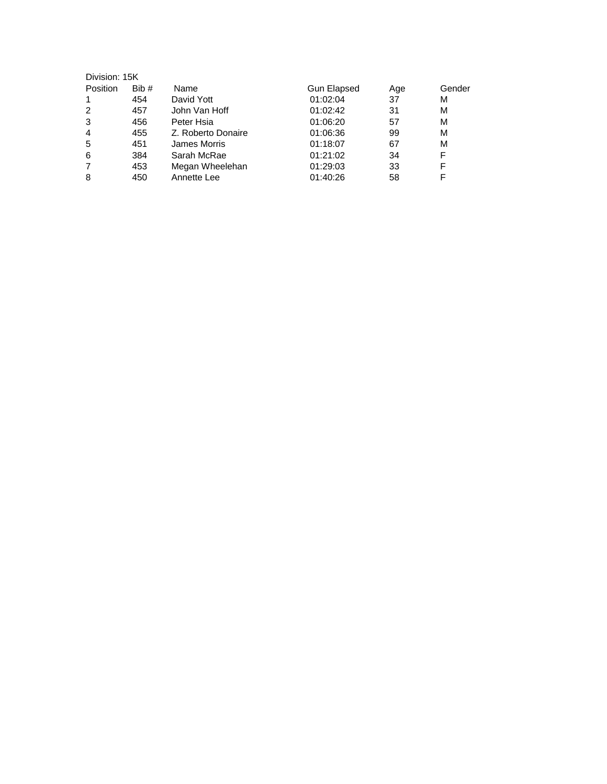| Division: 15K  |      |                    |             |     |        |
|----------------|------|--------------------|-------------|-----|--------|
| Position       | Bib# | Name               | Gun Elapsed | Age | Gender |
|                | 454  | David Yott         | 01:02:04    | 37  | М      |
| 2              | 457  | John Van Hoff      | 01:02:42    | 31  | М      |
| 3              | 456  | Peter Hsia         | 01:06:20    | 57  | М      |
| $\overline{4}$ | 455  | Z. Roberto Donaire | 01:06:36    | 99  | М      |
| 5              | 451  | James Morris       | 01:18:07    | 67  | М      |
| 6              | 384  | Sarah McRae        | 01:21:02    | 34  | F      |
| 7              | 453  | Megan Wheelehan    | 01:29:03    | 33  | F      |
| 8              | 450  | Annette Lee        | 01:40:26    | 58  |        |
|                |      |                    |             |     |        |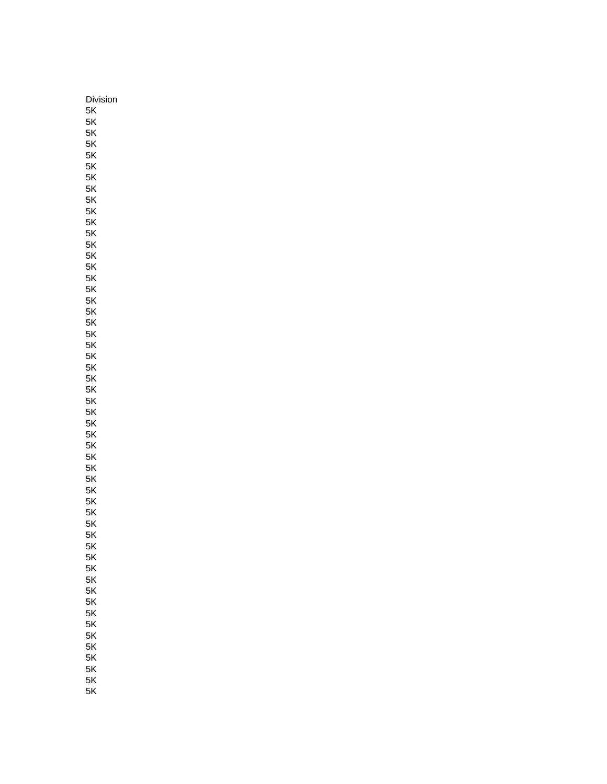Division 5K 5K 5K 5K 5K 5K 5K 5K 5K 5K 5K 5K 5K 5K 5K 5K 5K 5K 5K 5K 5K 5K 5K 5K 5K 5K 5K 5K 5K 5K 5K 5K 5K 5K 5K 5K 5K 5K 5K 5K 5K 5K 5K 5K 5K 5K 5K 5K 5K 5K 5K  $5K$ 5K